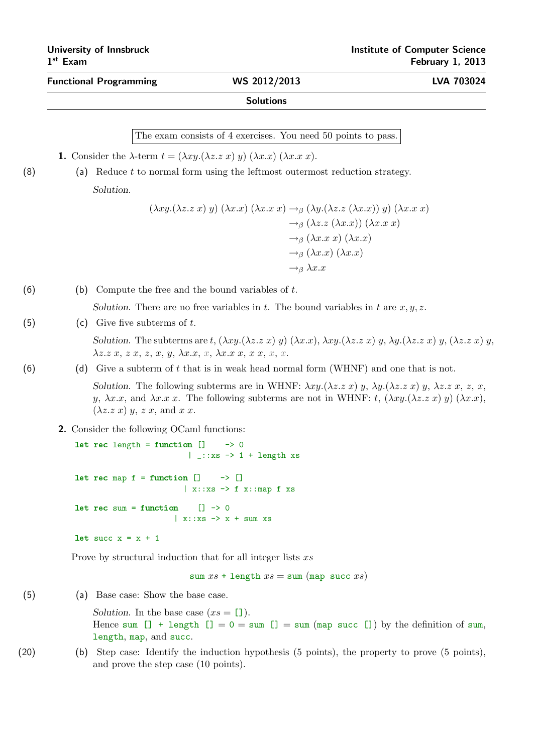## Functional Programming WS 2012/2013 LVA 703024

## **Solutions**

The exam consists of 4 exercises. You need 50 points to pass.

**1.** Consider the  $\lambda$ -term  $t = (\lambda xy.(\lambda z. z x) y) (\lambda x. x) (\lambda x. x x)$ .

(8) (a) Reduce  $t$  to normal form using the leftmost outermost reduction strategy. Solution.

$$
(\lambda xy.(\lambda z.z x) y) (\lambda x.x) (\lambda x.x x) \rightarrow_{\beta} (\lambda y.(\lambda z.z (\lambda x.x)) y) (\lambda x.x x)
$$
  
\n
$$
\rightarrow_{\beta} (\lambda z.z (\lambda x.x)) (\lambda x.x x)
$$
  
\n
$$
\rightarrow_{\beta} (\lambda x.x x) (\lambda x.x)
$$
  
\n
$$
\rightarrow_{\beta} (\lambda x.x) (\lambda x.x)
$$
  
\n
$$
\rightarrow_{\beta} (\lambda x.x)
$$
  
\n
$$
\rightarrow_{\beta} \lambda x.x
$$

(6) (b) Compute the free and the bound variables of  $t$ .

Solution. There are no free variables in t. The bound variables in t are  $x, y, z$ .

(5) (c) Give five subterms of  $t$ .

Solution. The subterms are t,  $(\lambda x y.(\lambda z. z x) y) (\lambda x. x), \lambda xy.(\lambda z. z x) y, \lambda y.(\lambda z. z x) y, (\lambda z. z x) y$  $\lambda z \ldotp z \ldotp x, z \ldotp x, z, x, y, \lambda x \ldotp x, x, \lambda x \ldotp x, x, x, x, x.$ 

(6) (d) Give a subterm of t that is in weak head normal form (WHNF) and one that is not.

Solution. The following subterms are in WHNF:  $\lambda xy.(\lambda z. z x) y, \lambda y.(\lambda z. z x) y, \lambda z. z x, z, x$ , y,  $\lambda x.x$ , and  $\lambda x.x$ . The following subterms are not in WHNF: t,  $(\lambda xy.(\lambda z.z x) y) (\lambda x.x)$ ,  $(\lambda z. z x) y, z x, \text{ and } x x.$ 

2. Consider the following OCaml functions:

```
let rec length = function [] \rightarrow 0| _::xs \rightarrow 1 + length xs
let rec map f = function [] -> []
                            \vert x::xs \rightarrow f x::map f xs
let rec sum = function [] \rightarrow 0\vert x:: xs \rightarrow x + sum xs
let succ x = x + 1
```
Prove by structural induction that for all integer lists  $xs$ 

sum  $xs$  + length  $xs$  = sum (map succ  $xs$ )

(5) (a) Base case: Show the base case.

Solution. In the base case  $(xs = []$ . Hence sum  $[] + length [] = 0 = sum [] = sum (map succ []) by the definition of sum,$ length, map, and succ.

(20) (b) Step case: Identify the induction hypothesis (5 points), the property to prove (5 points), and prove the step case (10 points).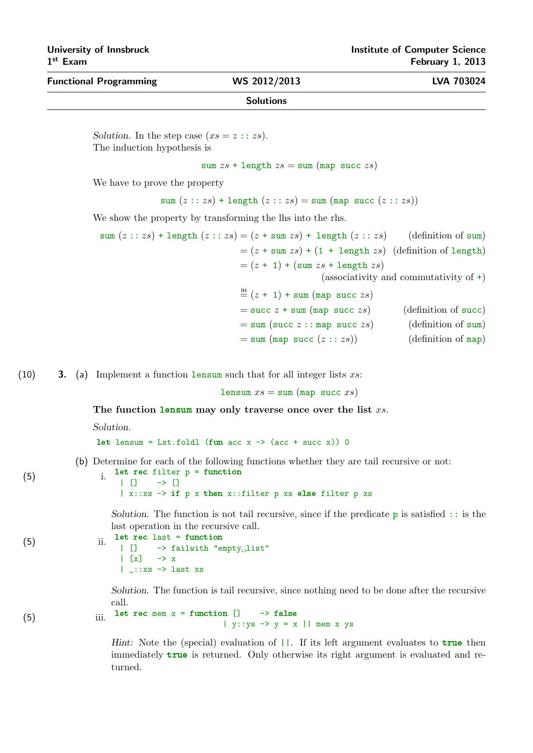# $1<sup>st</sup>$  Exam

Functional Programming WS 2012/2013 LVA 703024

### **Solutions**

Solution. In the step case  $(xs = z :: zs)$ . The induction hypothesis is

sum  $zs + \text{length } zs = \text{sum } (\text{map } \text{succ } zs)$ 

We have to prove the property

sum  $(z::zs)$  + length  $(z::zs)$  = sum (map succ  $(z::zs)$ )

We show the property by transforming the lhs into the rhs.

sum  $(z : zs)$  + length  $(z : zs) = (z + \text{sum } zs) + \text{length } (z : zs)$  (definition of sum)  $=(z + \text{sum } zs) + (1 + \text{length } zs)$  (definition of length)  $=(z + 1) + (sum z + 1)$ (associativity and commutativity of +)  $\stackrel{\text{IH}}{=} (z + 1) + \text{sum (map succ } zs)$  $=$  succ  $z +$  sum (map succ  $zs$ ) (definition of succ)  $=$  sum (succ  $z$  :: map succ  $zs$ ) (definition of sum)

 $=$  sum (map succ  $(z : : zs)$ ) (definition of map)

(10) 3. (a) Implement a function lensum such that for all integer lists  $xs$ :

lensum  $xs =$  sum (map succ  $xs$ )

The function lensum may only traverse once over the list  $xs$ .

Solution.

let lensum = Lst.foldl (fun acc  $x \rightarrow (\text{acc} + \text{succ} x))$  0

(b) Determine for each of the following functions whether they are tail recursive or not:

```
(5) i. let rec filter p = function
                   | [] \rightarrow []
                   | x::xs -> if p x then x::filter p xs else filter p xs
```
Solution. The function is not tail recursive, since if the predicate  $p$  is satisfied  $\cdots$  is the last operation in the recursive call.

```
(5) ii. let rec last = function<br>\begin{array}{ccc} & \text{ii.} & \text{I} & \text{iii.} \\ & | & | & \text{iv.} \end{array}\rightarrow failwith "empty list"
                                               \left| \right| \left[ x \right] \rightarrow x| _::xs -> last xs
```
Solution. The function is tail recursive, since nothing need to be done after the recursive call.

(5) iii. let rec mem  $x =$  function  $[] \rightarrow$  false |  $y:ys \rightarrow y = x$  || mem x ys

> Hint: Note the (special) evaluation of  $||.$  If its left argument evaluates to true then immediately true is returned. Only otherwise its right argument is evaluated and returned.